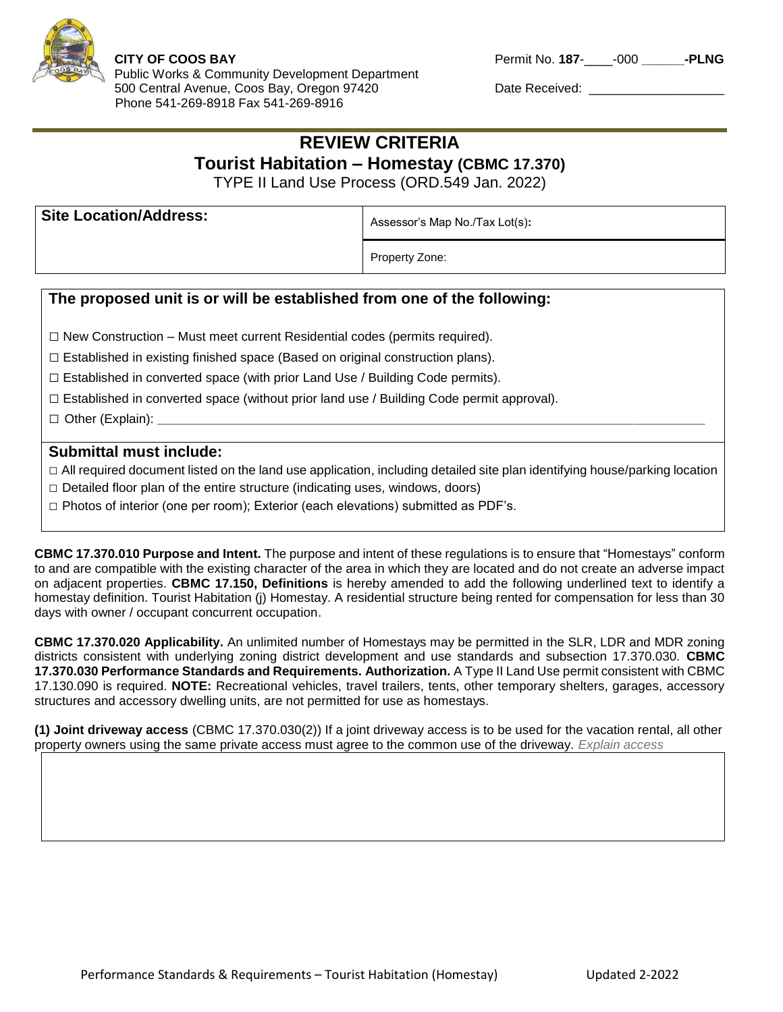

*t Dept.*

Public Works & Community Development Department 500 Central Avenue, Coos Bay, Oregon 97420 Date Received: \_\_\_\_\_\_\_\_\_\_\_\_\_\_\_\_\_\_\_\_\_\_ Phone 541-269-8918 Fax 541-269-8916

**CITY OF COOS BAY Permit No. 187-4-1800 PLNG** 

## **REVIEW CRITERIA Tourist Habitation – Homestay (CBMC 17.370)**

TYPE II Land Use Process (ORD.549 Jan. 2022)

| <b>Site Location/Address:</b> | Assessor's Map No./Tax Lot(s): |
|-------------------------------|--------------------------------|
|                               | Property Zone:                 |

## **The proposed unit is or will be established from one of the following:**

**□** New Construction – Must meet current Residential codes (permits required).

 $\square$  Established in existing finished space (Based on original construction plans).

 $\square$  Established in converted space (with prior Land Use / Building Code permits).

 $\square$  Established in converted space (without prior land use / Building Code permit approval).

□ Other (Explain): <u></u>

## **Submittal must include:**

□ All required document listed on the land use application, including detailed site plan identifying house/parking location

- **□** Detailed floor plan of the entire structure (indicating uses, windows, doors)
- **□** Photos of interior (one per room); Exterior (each elevations) submitted as PDF's.

**CBMC 17.370.010 Purpose and Intent.** The purpose and intent of these regulations is to ensure that "Homestays" conform to and are compatible with the existing character of the area in which they are located and do not create an adverse impact on adjacent properties. **CBMC 17.150, Definitions** is hereby amended to add the following underlined text to identify a homestay definition. Tourist Habitation (j) Homestay. A residential structure being rented for compensation for less than 30 days with owner / occupant concurrent occupation.

**CBMC 17.370.020 Applicability.** An unlimited number of Homestays may be permitted in the SLR, LDR and MDR zoning districts consistent with underlying zoning district development and use standards and subsection 17.370.030. **CBMC 17.370.030 Performance Standards and Requirements. Authorization.** A Type II Land Use permit consistent with CBMC 17.130.090 is required. **NOTE:** Recreational vehicles, travel trailers, tents, other temporary shelters, garages, accessory structures and accessory dwelling units, are not permitted for use as homestays.

**(1) Joint driveway access** (CBMC 17.370.030(2)) If a joint driveway access is to be used for the vacation rental, all other property owners using the same private access must agree to the common use of the driveway. *Explain access*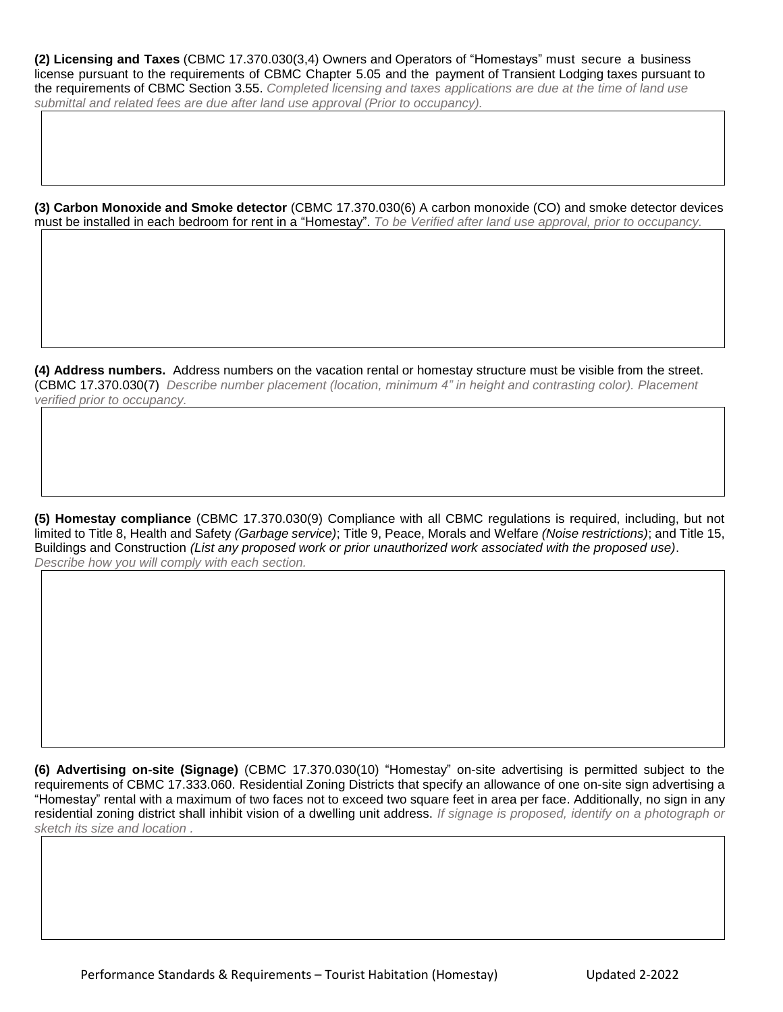**(2) Licensing and Taxes** (CBMC 17.370.030(3,4) Owners and Operators of "Homestays" must secure a business license pursuant to the requirements of CBMC Chapter 5.05 and the payment of Transient Lodging taxes pursuant to the requirements of CBMC Section 3.55. *Completed licensing and taxes applications are due at the time of land use submittal and related fees are due after land use approval (Prior to occupancy).*

**(3) Carbon Monoxide and Smoke detector** (CBMC 17.370.030(6) A carbon monoxide (CO) and smoke detector devices must be installed in each bedroom for rent in a "Homestay". *To be Verified after land use approval, prior to occupancy.*

**(4) Address numbers.** Address numbers on the vacation rental or homestay structure must be visible from the street. (CBMC 17.370.030(7) *Describe number placement (location, minimum 4" in height and contrasting color). Placement verified prior to occupancy.*

**(5) Homestay compliance** (CBMC 17.370.030(9) Compliance with all CBMC regulations is required, including, but not limited to Title 8, Health and Safety *(Garbage service)*; Title 9, Peace, Morals and Welfare *(Noise restrictions)*; and Title 15, Buildings and Construction *(List any proposed work or prior unauthorized work associated with the proposed use)*. *Describe how you will comply with each section.*

**(6) Advertising on-site (Signage)** (CBMC 17.370.030(10) "Homestay" on-site advertising is permitted subject to the requirements of CBMC 17.333.060. Residential Zoning Districts that specify an allowance of one on-site sign advertising a "Homestay" rental with a maximum of two faces not to exceed two square feet in area per face. Additionally, no sign in any residential zoning district shall inhibit vision of a dwelling unit address. *If signage is proposed, identify on a photograph or sketch its size and location .*